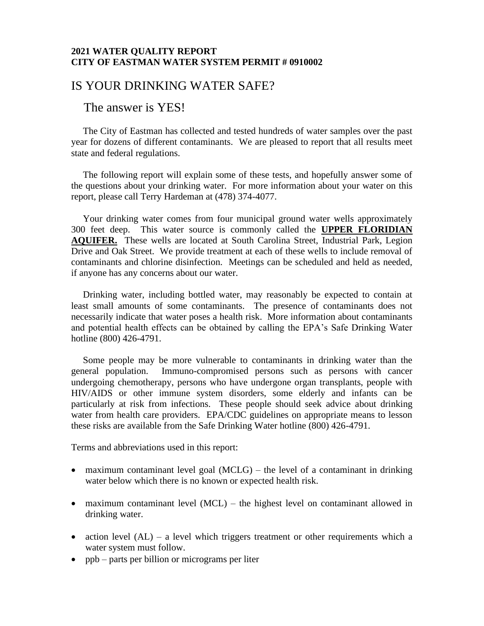## **2021 WATER QUALITY REPORT CITY OF EASTMAN WATER SYSTEM PERMIT # 0910002**

## IS YOUR DRINKING WATER SAFE?

## The answer is YES!

 The City of Eastman has collected and tested hundreds of water samples over the past year for dozens of different contaminants. We are pleased to report that all results meet state and federal regulations.

 The following report will explain some of these tests, and hopefully answer some of the questions about your drinking water. For more information about your water on this report, please call Terry Hardeman at (478) 374-4077.

 Your drinking water comes from four municipal ground water wells approximately 300 feet deep. This water source is commonly called the **UPPER FLORIDIAN AQUIFER.** These wells are located at South Carolina Street, Industrial Park, Legion Drive and Oak Street. We provide treatment at each of these wells to include removal of contaminants and chlorine disinfection. Meetings can be scheduled and held as needed, if anyone has any concerns about our water.

 Drinking water, including bottled water, may reasonably be expected to contain at least small amounts of some contaminants. The presence of contaminants does not necessarily indicate that water poses a health risk. More information about contaminants and potential health effects can be obtained by calling the EPA's Safe Drinking Water hotline (800) 426-4791.

 Some people may be more vulnerable to contaminants in drinking water than the general population. Immuno-compromised persons such as persons with cancer undergoing chemotherapy, persons who have undergone organ transplants, people with HIV/AIDS or other immune system disorders, some elderly and infants can be particularly at risk from infections. These people should seek advice about drinking water from health care providers. EPA/CDC guidelines on appropriate means to lesson these risks are available from the Safe Drinking Water hotline (800) 426-4791.

Terms and abbreviations used in this report:

- maximum contaminant level goal (MCLG) the level of a contaminant in drinking water below which there is no known or expected health risk.
- maximum contaminant level (MCL) the highest level on contaminant allowed in drinking water.
- action level  $(AL)$  a level which triggers treatment or other requirements which a water system must follow.
- ppb parts per billion or micrograms per liter